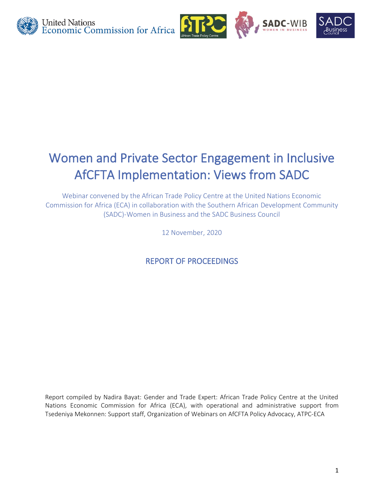

# Women and Private Sector Engagement in Inclusive AfCFTA Implementation: Views from SADC

Webinar convened by the African Trade Policy Centre at the United Nations Economic Commission for Africa (ECA) in collaboration with the Southern African Development Community (SADC)-Women in Business and the SADC Business Council

12 November, 2020

REPORT OF PROCEEDINGS

Report compiled by Nadira Bayat: Gender and Trade Expert: African Trade Policy Centre at the United Nations Economic Commission for Africa (ECA), with operational and administrative support from Tsedeniya Mekonnen: Support staff, Organization of Webinars on AfCFTA Policy Advocacy, ATPC-ECA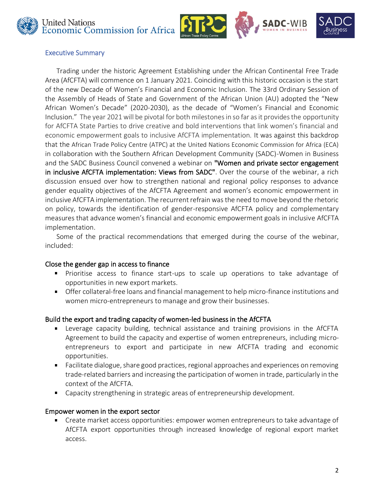





#### Executive Summary

Trading under the historic Agreement Establishing under the African Continental Free Trade Area (AfCFTA) will commence on 1 January 2021. Coinciding with this historic occasion is the start of the new Decade of Women's Financial and Economic Inclusion. The 33rd Ordinary Session of the Assembly of Heads of State and Government of the African Union (AU) adopted the "New African Women's Decade" (2020-2030), as the decade of "Women's Financial and Economic Inclusion." The year 2021 will be pivotal for both milestones in so far as it provides the opportunity for AfCFTA State Parties to drive creative and bold interventions that link women's financial and economic empowerment goals to inclusive AfCFTA implementation. It was against this backdrop that the African Trade Policy Centre (ATPC) at the United Nations Economic Commission for Africa (ECA) in collaboration with the Southern African Development Community (SADC)-Women in Business and the SADC Business Council convened a webinar on "Women and private sector engagement in inclusive AfCFTA implementation: Views from SADC". Over the course of the webinar, a rich discussion ensued over how to strengthen national and regional policy responses to advance gender equality objectives of the AfCFTA Agreement and women's economic empowerment in inclusive AfCFTA implementation. The recurrent refrain was the need to move beyond the rhetoric on policy, towards the identification of gender-responsive AfCFTA policy and complementary measures that advance women's financial and economic empowerment goals in inclusive AfCFTA implementation.

Some of the practical recommendations that emerged during the course of the webinar, included:

#### Close the gender gap in access to finance

- Prioritise access to finance start-ups to scale up operations to take advantage of opportunities in new export markets.
- Offer collateral-free loans and financial management to help micro-finance institutions and women micro-entrepreneurs to manage and grow their businesses.

# Build the export and trading capacity of women-led business in the AfCFTA

- Leverage capacity building, technical assistance and training provisions in the AfCFTA Agreement to build the capacity and expertise of women entrepreneurs, including microentrepreneurs to export and participate in new AfCFTA trading and economic opportunities.
- Facilitate dialogue, share good practices, regional approaches and experiences on removing trade-related barriers and increasing the participation of women in trade, particularly in the context of the AfCFTA.
- Capacity strengthening in strategic areas of entrepreneurship development.

#### Empower women in the export sector

Create market access opportunities: empower women entrepreneurs to take advantage of AfCFTA export opportunities through increased knowledge of regional export market access.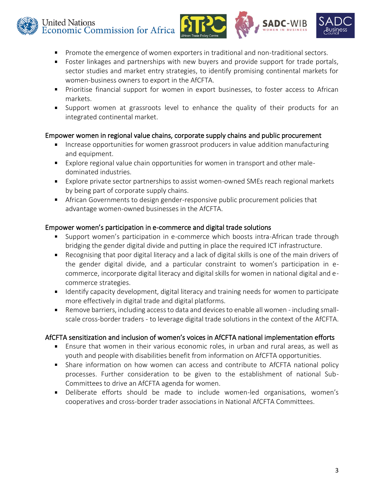



WI<sub>R</sub>

- Promote the emergence of women exporters in traditional and non-traditional sectors.  $\blacksquare$
- **F** Foster linkages and partnerships with new buyers and provide support for trade portals, sector studies and market entry strategies, to identify promising continental markets for women-business owners to export in the AfCFTA.
- **Prioritise financial support for women in export businesses, to foster access to African** markets.
- Support women at grassroots level to enhance the quality of their products for an integrated continental market.

## Empower women in regional value chains, corporate supply chains and public procurement

- **IF Increase opportunities for women grassroot producers in value addition manufacturing** and equipment.
- Explore regional value chain opportunities for women in transport and other maledominated industries.
- **Explore private sector partnerships to assist women-owned SMEs reach regional markets** by being part of corporate supply chains.
- **African Governments to design gender-responsive public procurement policies that** advantage women-owned businesses in the AfCFTA.

## Empower women's participation in e-commerce and digital trade solutions

- Support women's participation in e-commerce which boosts intra-African trade through  $\blacksquare$  . bridging the gender digital divide and putting in place the required ICT infrastructure.
- Recognising that poor digital literacy and a lack of digital skills is one of the main drivers of the gender digital divide, and a particular constraint to women's participation in ecommerce, incorporate digital literacy and digital skills for women in national digital and ecommerce strategies.
- **If all identify capacity development, digital literacy and training needs for women to participate** more effectively in digital trade and digital platforms.
- $\blacksquare$ Remove barriers, including access to data and devices to enable all women - including smallscale cross-border traders - to leverage digital trade solutions in the context of the AfCFTA.

# AfCFTA sensitization and inclusion of women's voices in AfCFTA national implementation efforts

- Ensure that women in their various economic roles, in urban and rural areas, as well as youth and people with disabilities benefit from information on AfCFTA opportunities.
- Share information on how women can access and contribute to AfCFTA national policy processes. Further consideration to be given to the establishment of national Sub-Committees to drive an AfCFTA agenda for women.
- $\mathbf{u}$  . Deliberate efforts should be made to include women-led organisations, women's cooperatives and cross-border trader associations in National AfCFTA Committees.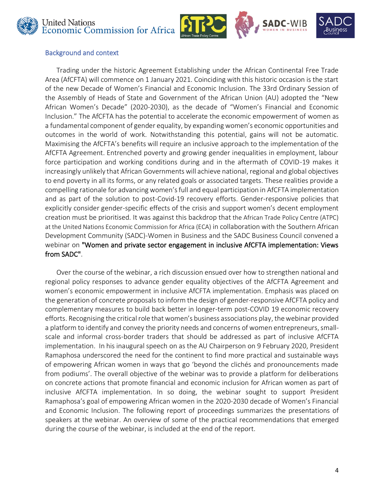





#### Background and context

Trading under the historic Agreement Establishing under the African Continental Free Trade Area (AfCFTA) will commence on 1 January 2021. Coinciding with this historic occasion is the start of the new Decade of Women's Financial and Economic Inclusion. The 33rd Ordinary Session of the Assembly of Heads of State and Government of the African Union (AU) adopted the "New African Women's Decade" (2020-2030), as the decade of "Women's Financial and Economic Inclusion." The AfCFTA has the potential to accelerate the economic empowerment of women as a fundamental component of gender equality, by expanding women's economic opportunities and outcomes in the world of work. Notwithstanding this potential, gains will not be automatic. Maximising the AfCFTA's benefits will require an inclusive approach to the implementation of the AfCFTA Agreement. Entrenched poverty and growing gender inequalities in employment, labour force participation and working conditions during and in the aftermath of COVID-19 makes it increasingly unlikely that African Governments will achieve national, regional and global objectives to end poverty in all its forms, or any related goals or associated targets. These realities provide a compelling rationale for advancing women's full and equal participation in AfCFTA implementation and as part of the solution to post-Covid-19 recovery efforts. Gender-responsive policies that explicitly consider gender-specific effects of the crisis and support women's decent employment creation must be prioritised. It was against this backdrop that the African Trade Policy Centre (ATPC) at the United Nations Economic Commission for Africa (ECA) in collaboration with the Southern African Development Community (SADC)-Women in Business and the SADC Business Council convened a webinar on "Women and private sector engagement in inclusive AfCFTA implementation: Views from SADC".

Over the course of the webinar, a rich discussion ensued over how to strengthen national and regional policy responses to advance gender equality objectives of the AfCFTA Agreement and women's economic empowerment in inclusive AfCFTA implementation. Emphasis was placed on the generation of concrete proposals to inform the design of gender-responsive AfCFTA policy and complementary measures to build back better in longer-term post-COVID 19 economic recovery efforts. Recognising the critical role that women's business associations play, the webinar provided a platform to identify and convey the priority needs and concerns of women entrepreneurs, smallscale and informal cross-border traders that should be addressed as part of inclusive AfCFTA implementation. In his inaugural speech on as the AU Chairperson on 9 February 2020, President Ramaphosa underscored the need for the continent to find more practical and sustainable ways of empowering African women in ways that go 'beyond the clichés and pronouncements made from podiums'. The overall objective of the webinar was to provide a platform for deliberations on concrete actions that promote financial and economic inclusion for African women as part of inclusive AfCFTA implementation. In so doing, the webinar sought to support President Ramaphosa's goal of empowering African women in the 2020-2030 decade of Women's Financial and Economic Inclusion. The following report of proceedings summarizes the presentations of speakers at the webinar. An overview of some of the practical recommendations that emerged during the course of the webinar, is included at the end of the report.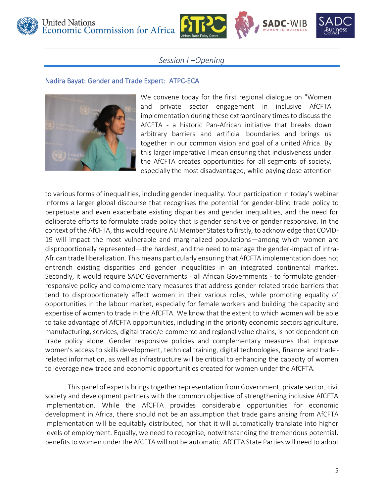



## *Session I –Opening*

#### Nadira Bayat: Gender and Trade Expert: ATPC-ECA



We convene today for the first regional dialogue on "Women and private sector engagement in inclusive AfCFTA implementation during these extraordinary times to discuss the AfCFTA - a historic Pan-African initiative that breaks down arbitrary barriers and artificial boundaries and brings us together in our common vision and goal of a united Africa. By this larger imperative I mean ensuring that inclusiveness under the AfCFTA creates opportunities for all segments of society, especially the most disadvantaged, while paying close attention

to various forms of inequalities, including gender inequality. Your participation in today's webinar informs a larger global discourse that recognises the potential for gender-blind trade policy to perpetuate and even exacerbate existing disparities and gender inequalities, and the need for deliberate efforts to formulate trade policy that is gender sensitive or gender responsive. In the context of the AfCFTA, this would require AU Member States to firstly, to acknowledge that COVID-19 will impact the most vulnerable and marginalized populations—among which women are disproportionally represented—the hardest, and the need to manage the gender-impact of intra-African trade liberalization. This means particularly ensuring that AfCFTA implementation does not entrench existing disparities and gender inequalities in an integrated continental market. Secondly, it would require SADC Governments - all African Governments - to formulate genderresponsive policy and complementary measures that address gender-related trade barriers that tend to disproportionately affect women in their various roles, while promoting equality of opportunities in the labour market, especially for female workers and building the capacity and expertise of women to trade in the AfCFTA. We know that the extent to which women will be able to take advantage of AfCFTA opportunities, including in the priority economic sectors agriculture, manufacturing, services, digital trade/e-commerce and regional value chains, is not dependent on trade policy alone. Gender responsive policies and complementary measures that improve women's access to skills development, technical training, digital technologies, finance and traderelated information, as well as infrastructure will be critical to enhancing the capacity of women to leverage new trade and economic opportunities created for women under the AfCFTA.

This panel of experts brings together representation from Government, private sector, civil society and development partners with the common objective of strengthening inclusive AfCFTA implementation. While the AfCFTA provides considerable opportunities for economic development in Africa, there should not be an assumption that trade gains arising from AfCFTA implementation will be equitably distributed, nor that it will automatically translate into higher levels of employment. Equally, we need to recognise, notwithstanding the tremendous potential, benefits to women under the AfCFTA will not be automatic. AfCFTA State Parties will need to adopt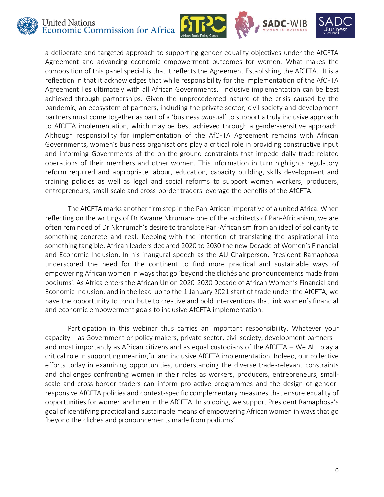







a deliberate and targeted approach to supporting gender equality objectives under the AfCFTA Agreement and advancing economic empowerment outcomes for women. What makes the composition of this panel special is that it reflects the Agreement Establishing the AfCFTA. It is a reflection in that it acknowledges that while responsibility for the implementation of the AfCFTA Agreement lies ultimately with all African Governments, inclusive implementation can be best achieved through partnerships. Given the unprecedented nature of the crisis caused by the pandemic, an ecosystem of partners, including the private sector, civil society and development partners must come together as part of a 'business *un*usual' to support a truly inclusive approach to AfCFTA implementation, which may be best achieved through a gender-sensitive approach. Although responsibility for implementation of the AfCFTA Agreement remains with African Governments, women's business organisations play a critical role in providing constructive input and informing Governments of the on-the-ground constraints that impede daily trade-related operations of their members and other women. This information in turn highlights regulatory reform required and appropriate labour, education, capacity building, skills development and training policies as well as legal and social reforms to support women workers, producers, entrepreneurs, small-scale and cross-border traders leverage the benefits of the AfCFTA.

The AfCFTA marks another firm step in the Pan-African imperative of a united Africa. When reflecting on the writings of Dr Kwame Nkrumah- one of the architects of Pan-Africanism, we are often reminded of Dr Nkhrumah's desire to translate Pan-Africanism from an ideal of solidarity to something concrete and real. Keeping with the intention of translating the aspirational into something tangible, African leaders declared 2020 to 2030 the new Decade of Women's Financial and Economic Inclusion. In his inaugural speech as the AU Chairperson, President Ramaphosa underscored the need for the continent to find more practical and sustainable ways of empowering African women in ways that go 'beyond the clichés and pronouncements made from podiums'. As Africa enters the African Union 2020-2030 Decade of African Women's Financial and Economic Inclusion, and in the lead-up to the 1 January 2021 start of trade under the AfCFTA, we have the opportunity to contribute to creative and bold interventions that link women's financial and economic empowerment goals to inclusive AfCFTA implementation.

Participation in this webinar thus carries an important responsibility. Whatever your capacity – as Government or policy makers, private sector, civil society, development partners – and most importantly as African citizens and as equal custodians of the AfCFTA – We ALL play a critical role in supporting meaningful and inclusive AfCFTA implementation. Indeed, our collective efforts today in examining opportunities, understanding the diverse trade-relevant constraints and challenges confronting women in their roles as workers, producers, entrepreneurs, smallscale and cross-border traders can inform pro-active programmes and the design of genderresponsive AfCFTA policies and context-specific complementary measures that ensure equality of opportunities for women and men in the AfCFTA. In so doing, we support President Ramaphosa's goal of identifying practical and sustainable means of empowering African women in ways that go 'beyond the clichés and pronouncements made from podiums'.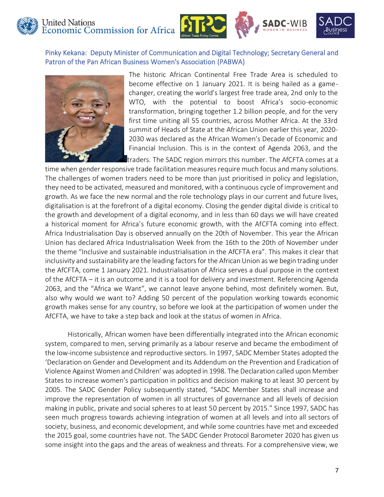



Pinky Kekana: Deputy Minister of Communication and Digital Technology; Secretary General and Patron of the Pan African Business Women's Association (PABWA)



The historic African Continental Free Trade Area is scheduled to become effective on 1 January 2021. It is being hailed as a gamechanger, creating the world's largest free trade area, 2nd only to the WTO, with the potential to boost Africa's socio-economic transformation, bringing together 1.2 billion people, and for the very first time uniting all 55 countries, across Mother Africa. At the 33rd summit of Heads of State at the African Union earlier this year, 2020- 2030 was declared as the African Women's Decade of Economic and Financial Inclusion. This is in the context of Agenda 2063, and the

traders. The SADC region mirrors this number. The AfCFTA comes at a

time when gender responsive trade facilitation measures require much focus and many solutions. The challenges of women traders need to be more than just prioritised in policy and legislation, they need to be activated, measured and monitored, with a continuous cycle of improvement and growth. As we face the new normal and the role technology plays in our current and future lives, digitalisation is at the forefront of a digital economy. Closing the gender digital divide is critical to the growth and development of a digital economy, and in less than 60 days we will have created a historical moment for Africa's future economic growth, with the AfCFTA coming into effect. Africa Industrialisation Day is observed annually on the 20th of November. This year the African Union has declared Africa Industrialisation Week from the 16th to the 20th of November under the theme "Inclusive and sustainable industrialisation in the AfCFTA era". This makes it clear that inclusivity and sustainability are the leading factors for the African Union as we begin trading under the AfCFTA, come 1 January 2021. Industrialisation of Africa serves a dual purpose in the context of the AfCFTA – it is an outcome and it is a tool for delivery and investment. Referencing Agenda 2063, and the "Africa we Want", we cannot leave anyone behind, most definitely women. But, also why would we want to? Adding 50 percent of the population working towards economic growth makes sense for any country, so before we look at the participation of women under the AfCFTA, we have to take a step back and look at the status of women in Africa.

Historically, African women have been differentially integrated into the African economic system, compared to men, serving primarily as a labour reserve and became the embodiment of the low-income subsistence and reproductive sectors. In 1997, SADC Member States adopted the 'Declaration on Gender and Development and its Addendum on the Prevention and Eradication of Violence Against Women and Children' was adopted in 1998. The Declaration called upon Member States to increase women's participation in politics and decision making to at least 30 percent by 2005. The SADC Gender Policy subsequently stated, "SADC Member States shall increase and improve the representation of women in all structures of governance and all levels of decision making in public, private and social spheres to at least 50 percent by 2015." Since 1997, SADC has seen much progress towards achieving integration of women at all levels and into all sectors of society, business, and economic development, and while some countries have met and exceeded the 2015 goal, some countries have not. The SADC Gender Protocol Barometer 2020 has given us some insight into the gaps and the areas of weakness and threats. For a comprehensive view, we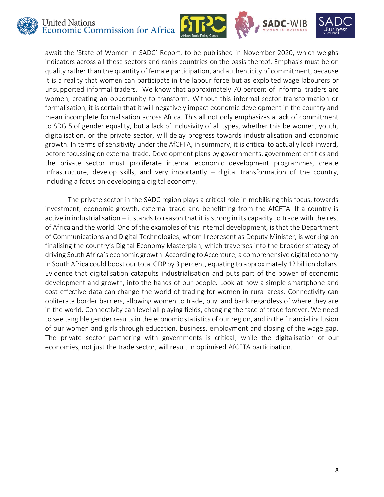







await the 'State of Women in SADC' Report, to be published in November 2020, which weighs indicators across all these sectors and ranks countries on the basis thereof. Emphasis must be on quality rather than the quantity of female participation, and authenticity of commitment, because it is a reality that women can participate in the labour force but as exploited wage labourers or unsupported informal traders. We know that approximately 70 percent of informal traders are women, creating an opportunity to transform. Without this informal sector transformation or formalisation, it is certain that it will negatively impact economic development in the country and mean incomplete formalisation across Africa. This all not only emphasizes a lack of commitment to SDG 5 of gender equality, but a lack of inclusivity of all types, whether this be women, youth, digitalisation, or the private sector, will delay progress towards industrialisation and economic growth. In terms of sensitivity under the AfCFTA, in summary, it is critical to actually look inward, before focussing on external trade. Development plans by governments, government entities and the private sector must proliferate internal economic development programmes, create infrastructure, develop skills, and very importantly – digital transformation of the country, including a focus on developing a digital economy.

The private sector in the SADC region plays a critical role in mobilising this focus, towards investment, economic growth, external trade and benefitting from the AfCFTA. If a country is active in industrialisation – it stands to reason that it is strong in its capacity to trade with the rest of Africa and the world. One of the examples of this internal development, is that the Department of Communications and Digital Technologies, whom I represent as Deputy Minister, is working on finalising the country's Digital Economy Masterplan, which traverses into the broader strategy of driving South Africa's economic growth. According to Accenture, a comprehensive digital economy in South Africa could boost our total GDP by 3 percent, equating to approximately 12 billion dollars. Evidence that digitalisation catapults industrialisation and puts part of the power of economic development and growth, into the hands of our people. Look at how a simple smartphone and cost-effective data can change the world of trading for women in rural areas. Connectivity can obliterate border barriers, allowing women to trade, buy, and bank regardless of where they are in the world. Connectivity can level all playing fields, changing the face of trade forever. We need to see tangible gender results in the economic statistics of our region, and in the financial inclusion of our women and girls through education, business, employment and closing of the wage gap. The private sector partnering with governments is critical, while the digitalisation of our economies, not just the trade sector, will result in optimised AfCFTA participation.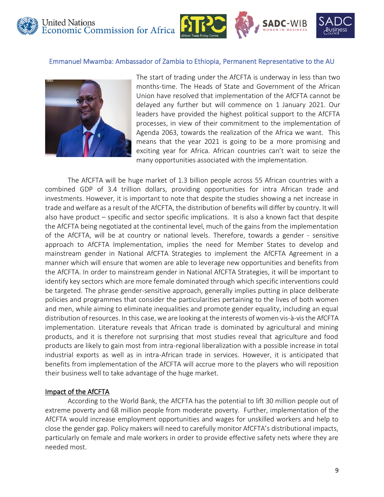





#### Emmanuel Mwamba: Ambassador of Zambia to Ethiopia, Permanent Representative to the AU



The start of trading under the AfCFTA is underway in less than two months-time. The Heads of State and Government of the African Union have resolved that implementation of the AfCFTA cannot be delayed any further but will commence on 1 January 2021. Our leaders have provided the highest political support to the AfCFTA processes, in view of their commitment to the implementation of Agenda 2063, towards the realization of the Africa we want. This means that the year 2021 is going to be a more promising and exciting year for Africa. African countries can't wait to seize the many opportunities associated with the implementation.

The AfCFTA will be huge market of 1.3 billion people across 55 African countries with a combined GDP of 3.4 trillion dollars, providing opportunities for intra African trade and investments. However, it is important to note that despite the studies showing a net increase in trade and welfare as a result of the AfCFTA, the distribution of benefits will differ by country. It will also have product – specific and sector specific implications. It is also a known fact that despite the AfCFTA being negotiated at the continental level, much of the gains from the implementation of the AfCFTA, will be at country or national levels. Therefore, towards a gender - sensitive approach to AfCFTA Implementation, implies the need for Member States to develop and mainstream gender in National AfCFTA Strategies to implement the AfCFTA Agreement in a manner which will ensure that women are able to leverage new opportunities and benefits from the AfCFTA. In order to mainstream gender in National AfCFTA Strategies, it will be important to identify key sectors which are more female dominated through which specific interventions could be targeted. The phrase gender-sensitive approach, generally implies putting in place deliberate policies and programmes that consider the particularities pertaining to the lives of both women and men, while aiming to eliminate inequalities and promote gender equality, including an equal distribution of resources. In this case, we are looking at the interests of women vis-à-vis the AfCFTA implementation. Literature reveals that African trade is dominated by agricultural and mining products, and it is therefore not surprising that most studies reveal that agriculture and food products are likely to gain most from intra-regional liberalization with a possible increase in total industrial exports as well as in intra-African trade in services. However, it is anticipated that benefits from implementation of the AfCFTA will accrue more to the players who will reposition their business well to take advantage of the huge market.

#### Impact of the AfCFTA

According to the World Bank, the AfCFTA has the potential to lift 30 million people out of extreme poverty and 68 million people from moderate poverty. Further, implementation of the AfCFTA would increase employment opportunities and wages for unskilled workers and help to close the gender gap. Policy makers will need to carefully monitor AfCFTA's distributional impacts, particularly on female and male workers in order to provide effective safety nets where they are needed most.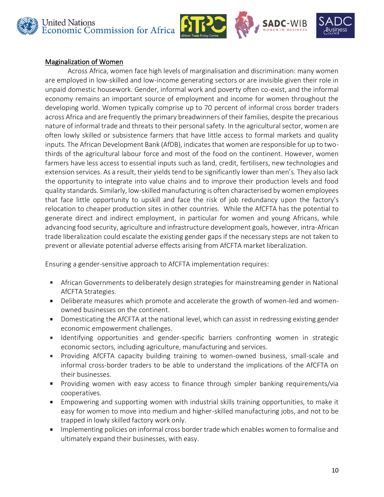







#### Maginalization of Women

Across Africa, women face high levels of marginalisation and discrimination: many women are employed in low-skilled and low-income generating sectors or are invisible given their role in unpaid domestic housework. Gender, informal work and poverty often co-exist, and the informal economy remains an important source of employment and income for women throughout the developing world. Women typically comprise up to 70 percent of informal cross border traders across Africa and are frequently the primary breadwinners of their families, despite the precarious nature of informal trade and threats to their personal safety. In the agricultural sector, women are often lowly skilled or subsistence farmers that have little access to formal markets and quality inputs. The African Development Bank (AfDB), indicates that women are responsible for up to twothirds of the agricultural labour force and most of the food on the continent. However, women farmers have less access to essential inputs such as land, credit, fertilisers, new technologies and extension services. As a result, their yields tend to be significantly lower than men's. They also lack the opportunity to integrate into value chains and to improve their production levels and food quality standards. Similarly, low-skilled manufacturing is often characterised by women employees that face little opportunity to upskill and face the risk of job redundancy upon the factory's relocation to cheaper production sites in other countries. While the AfCFTA has the potential to generate direct and indirect employment, in particular for women and young Africans, while advancing food security, agriculture and infrastructure development goals, however, intra-African trade liberalization could escalate the existing gender gaps if the necessary steps are not taken to prevent or alleviate potential adverse effects arising from AfCFTA market liberalization.

Ensuring a gender-sensitive approach to AfCFTA implementation requires:

- $\mathbf{u}$  . African Governments to deliberately design strategies for mainstreaming gender in National AfCFTA Strategies.
- Deliberate measures which promote and accelerate the growth of women-led and women- $\mathbf{u}$  . owned businesses on the continent.
- Domesticating the AfCFTA at the national level, which can assist in redressing existing gender  $\blacksquare$  . economic empowerment challenges.
- Identifying opportunities and gender-specific barriers confronting women in strategic  $\mathbf{u}$  . economic sectors, including agriculture, manufacturing and services.
- $\mathbf{r}_\mathrm{c}$ Providing AfCFTA capacity building training to women-owned business, small-scale and informal cross-border traders to be able to understand the implications of the AfCFTA on their businesses.
- Providing women with easy access to finance through simpler banking requirements/via  $\mathbf{m}$ cooperatives.
- Empowering and supporting women with industrial skills training opportunities, to make it  $\blacksquare$ easy for women to move into medium and higher-skilled manufacturing jobs, and not to be trapped in lowly skilled factory work only.
- Implementing policies on informal cross border trade which enables women to formalise and  $\blacksquare$  . ultimately expand their businesses, with easy.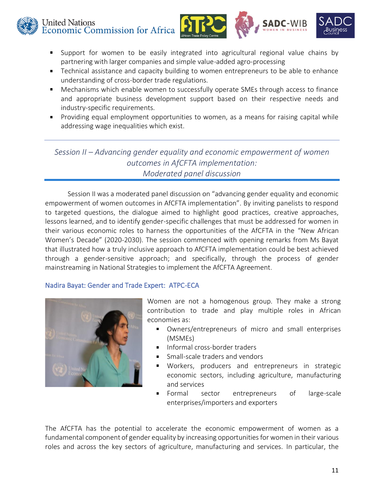United Nations United Nations<br>Economic Commission for Africa





- Support for women to be easily integrated into agricultural regional value chains by  $\mathbf{H}^{\text{max}}$ partnering with larger companies and simple value-added agro-processing
- Technical assistance and capacity building to women entrepreneurs to be able to enhance  $\mathbf{u}$ understanding of cross-border trade regulations.
- Mechanisms which enable women to successfully operate SMEs through access to finance  $\mathbf{H}^{\text{max}}$ and appropriate business development support based on their respective needs and industry-specific requirements.
- $\mathbf{m}$ Providing equal employment opportunities to women, as a means for raising capital while addressing wage inequalities which exist.

*Session II – Advancing gender equality and economic empowerment of women outcomes in AfCFTA implementation: Moderated panel discussion*

Session II was a moderated panel discussion on "advancing gender equality and economic empowerment of women outcomes in AfCFTA implementation". By inviting panelists to respond to targeted questions, the dialogue aimed to highlight good practices, creative approaches, lessons learned, and to identify gender-specific challenges that must be addressed for women in their various economic roles to harness the opportunities of the AfCFTA in the "New African Women's Decade" (2020-2030). The session commenced with opening remarks from Ms Bayat that illustrated how a truly inclusive approach to AfCFTA implementation could be best achieved through a gender-sensitive approach; and specifically, through the process of gender mainstreaming in National Strategies to implement the AfCFTA Agreement.

#### Nadira Bayat: Gender and Trade Expert: ATPC-ECA



Women are not a homogenous group. They make a strong contribution to trade and play multiple roles in African economies as:

- Owners/entrepreneurs of micro and small enterprises (MSMEs)
- Informal cross-border traders
- Small-scale traders and vendors
- Workers, producers and entrepreneurs in strategic economic sectors, including agriculture, manufacturing and services
- $\blacksquare$ Formal sector entrepreneurs of large-scale enterprises/importers and exporters

The AfCFTA has the potential to accelerate the economic empowerment of women as a fundamental component of gender equality by increasing opportunities for women in their various roles and across the key sectors of agriculture, manufacturing and services. In particular, the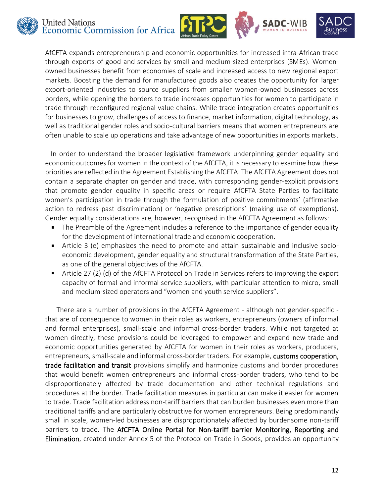







AfCFTA expands entrepreneurship and economic opportunities for increased intra-African trade through exports of good and services by small and medium-sized enterprises (SMEs). Womenowned businesses benefit from economies of scale and increased access to new regional export markets. Boosting the demand for manufactured goods also creates the opportunity for larger export-oriented industries to source suppliers from smaller women-owned businesses across borders, while opening the borders to trade increases opportunities for women to participate in trade through reconfigured regional value chains. While trade integration creates opportunities for businesses to grow, challenges of access to finance, market information, digital technology, as well as traditional gender roles and socio-cultural barriers means that women entrepreneurs are often unable to scale up operations and take advantage of new opportunities in exports markets.

In order to understand the broader legislative framework underpinning gender equality and economic outcomes for women in the context of the AfCFTA, it is necessary to examine how these priorities are reflected in the Agreement Establishing the AfCFTA. The AfCFTA Agreement does not contain a separate chapter on gender and trade, with corresponding gender-explicit provisions that promote gender equality in specific areas or require AfCFTA State Parties to facilitate women's participation in trade through the formulation of positive commitments' (affirmative action to redress past discrimination) or 'negative prescriptions' (making use of exemptions). Gender equality considerations are, however, recognised in the AfCFTA Agreement as follows:

- The Preamble of the Agreement includes a reference to the importance of gender equality for the development of international trade and economic cooperation.
- Article 3 (e) emphasizes the need to promote and attain sustainable and inclusive socio- $\blacksquare$ economic development, gender equality and structural transformation of the State Parties, as one of the general objectives of the AfCFTA.
- Article 27 (2) (d) of the AfCFTA Protocol on Trade in Services refers to improving the export capacity of formal and informal service suppliers, with particular attention to micro, small and medium-sized operators and "women and youth service suppliers".

There are a number of provisions in the AfCFTA Agreement - although not gender-specific that are of consequence to women in their roles as workers, entrepreneurs (owners of informal and formal enterprises), small-scale and informal cross-border traders. While not targeted at women directly, these provisions could be leveraged to empower and expand new trade and economic opportunities generated by AfCFTA for women in their roles as workers, producers, entrepreneurs, small-scale and informal cross-border traders. For example, customs cooperation, trade facilitation and transit provisions simplify and harmonize customs and border procedures that would benefit women entrepreneurs and informal cross-border traders, who tend to be disproportionately affected by trade documentation and other technical regulations and procedures at the border. Trade facilitation measures in particular can make it easier for women to trade. Trade facilitation address non-tariff barriers that can burden businesses even more than traditional tariffs and are particularly obstructive for women entrepreneurs. Being predominantly small in scale, women-led businesses are disproportionately affected by burdensome non-tariff barriers to trade. The AfCFTA Online Portal for Non-tariff barrier Monitoring, Reporting and Elimination, created under Annex 5 of the Protocol on Trade in Goods, provides an opportunity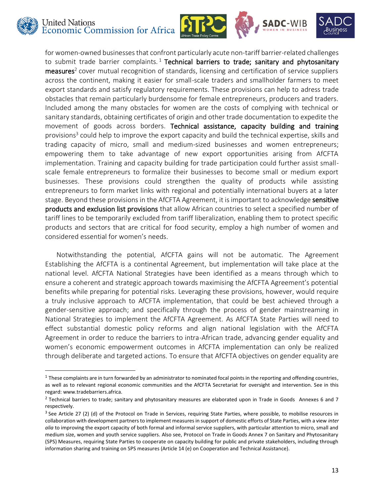







for women-owned businesses that confront particularly acute non-tariff barrier-related challenges to submit trade barrier complaints.<sup>1</sup> Technical barriers to trade; sanitary and phytosanitary measures<sup>2</sup> cover mutual recognition of standards, licensing and certification of service suppliers across the continent, making it easier for small-scale traders and smallholder farmers to meet export standards and satisfy regulatory requirements. These provisions can help to adress trade obstacles that remain particularly burdensome for female entrepreneurs, producers and traders. Included among the many obstacles for women are the costs of complying with technical or sanitary standards, obtaining certificates of origin and other trade documentation to expedite the movement of goods across borders. Technical assistance, capacity building and training provisions<sup>3</sup> could help to improve the export capacity and build the technical expertise, skills and trading capacity of micro, small and medium-sized businesses and women entrepreneurs; empowering them to take advantage of new export opportunities arising from AfCFTA implementation. Training and capacity building for trade participation could further assist smallscale female entrepreneurs to formalize their businesses to become small or medium export businesses. These provisions could strengthen the quality of products while assisting entrepreneurs to form market links with regional and potentially international buyers at a later stage. Beyond these provisions in the AfCFTA Agreement, it is important to acknowledge sensitive products and exclusion list provisions that allow African countries to select a specified number of tariff lines to be temporarily excluded from tariff liberalization, enabling them to protect specific products and sectors that are critical for food security, employ a high number of women and considered essential for women's needs.

Notwithstanding the potential, AfCFTA gains will not be automatic. The Agreement Establishing the AfCFTA is a continental Agreement, but implementation will take place at the national level. AfCFTA National Strategies have been identified as a means through which to ensure a coherent and strategic approach towards maximising the AfCFTA Agreement's potential benefits while preparing for potential risks. Leveraging these provisions, however, would require a truly inclusive approach to AfCFTA implementation, that could be best achieved through a gender-sensitive approach; and specifically through the process of gender mainstreaming in National Strategies to implement the AfCFTA Agreement. As AfCFTA State Parties will need to effect substantial domestic policy reforms and align national legislation with the AfCFTA Agreement in order to reduce the barriers to intra-African trade, advancing gender equality and women's economic empowerment outcomes in AfCFTA implementation can only be realized through deliberate and targeted actions. To ensure that AfCFTA objectives on gender equality are

 $1$  These complaints are in turn forwarded by an administrator to nominated focal points in the reporting and offending countries, as well as to relevant regional economic communities and the AfCFTA Secretariat for oversight and intervention. See in this regard: www.tradebarriers.africa.

 $2$  Technical barriers to trade; sanitary and phytosanitary measures are elaborated upon in Trade in Goods Annexes 6 and 7 respectively.

<sup>3</sup> See Article 27 (2) (d) of the Protocol on Trade in Services, requiring State Parties, where possible, to mobilise resources in collaboration with development partners to implement measures in support of domestic efforts of State Parties, with a view *inter alia* to improving the export capacity of both formal and informal service suppliers, with particular attention to micro, small and medium size, women and youth service suppliers. Also see, Protocol on Trade in Goods Annex 7 on Sanitary and Phytosanitary (SPS) Measures, requiring State Parties to cooperate on capacity building for public and private stakeholders, including through information sharing and training on SPS measures (Article 14 (e) on Cooperation and Technical Assistance).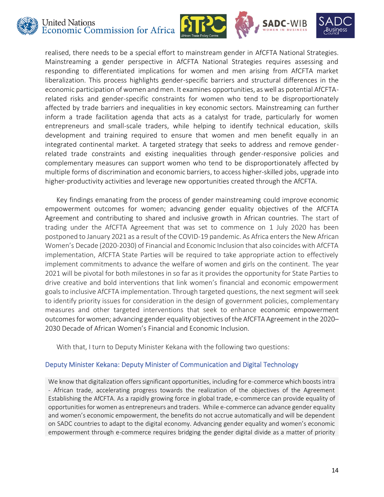







realised, there needs to be a special effort to mainstream gender in AfCFTA National Strategies. Mainstreaming a gender perspective in AfCFTA National Strategies requires assessing and responding to differentiated implications for women and men arising from AfCFTA market liberalization. This process highlights gender-specific barriers and structural differences in the economic participation of women and men. It examines opportunities, as well as potential AfCFTArelated risks and gender-specific constraints for women who tend to be disproportionately affected by trade barriers and inequalities in key economic sectors. Mainstreaming can further inform a trade facilitation agenda that acts as a catalyst for trade, particularly for women entrepreneurs and small-scale traders, while helping to identify technical education, skills development and training required to ensure that women and men benefit equally in an integrated continental market. A targeted strategy that seeks to address and remove genderrelated trade constraints and existing inequalities through gender-responsive policies and complementary measures can support women who tend to be disproportionately affected by multiple forms of discrimination and economic barriers, to access higher-skilled jobs, upgrade into higher-productivity activities and leverage new opportunities created through the AfCFTA.

Key findings emanating from the process of gender mainstreaming could improve economic empowerment outcomes for women; advancing gender equality objectives of the AfCFTA Agreement and contributing to shared and inclusive growth in African countries. The start of trading under the AfCFTA Agreement that was set to commence on 1 July 2020 has been postponed to January 2021 as a result of the COVID-19 pandemic. As Africa enters the New African Women's Decade (2020-2030) of Financial and Economic Inclusion that also coincides with AfCFTA implementation, AfCFTA State Parties will be required to take appropriate action to effectively implement commitments to advance the welfare of women and girls on the continent. The year 2021 will be pivotal for both milestones in so far as it provides the opportunity for State Parties to drive creative and bold interventions that link women's financial and economic empowerment goals to inclusive AfCFTA implementation. Through targeted questions, the next segment will seek to identify priority issues for consideration in the design of government policies, complementary measures and other targeted interventions that seek to enhance economic empowerment outcomes for women; advancing gender equality objectives of the AfCFTA Agreement in the 2020– 2030 Decade of African Women's Financial and Economic Inclusion.

With that, I turn to Deputy Minister Kekana with the following two questions:

#### Deputy Minister Kekana: Deputy Minister of Communication and Digital Technology

We know that digitalization offers significant opportunities, including for e-commerce which boosts intra - African trade, accelerating progress towards the realization of the objectives of the Agreement Establishing the AfCFTA. As a rapidly growing force in global trade, e-commerce can provide equality of opportunities for women as entrepreneurs and traders. While e-commerce can advance gender equality and women's economic empowerment, the benefits do not accrue automatically and will be dependent on SADC countries to adapt to the digital economy. Advancing gender equality and women's economic empowerment through e-commerce requires bridging the gender digital divide as a matter of priority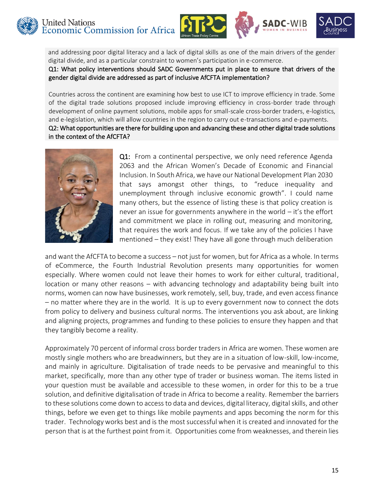





and addressing poor digital literacy and a lack of digital skills as one of the main drivers of the gender digital divide, and as a particular constraint to women's participation in e-commerce. Q1: What policy interventions should SADC Governments put in place to ensure that drivers of the gender digital divide are addressed as part of inclusive AfCFTA implementation?

Countries across the continent are examining how best to use ICT to improve efficiency in trade. Some of the digital trade solutions proposed include improving efficiency in cross-border trade through development of online payment solutions, mobile apps for small-scale cross-border traders, e-logistics, and e-legislation, which will allow countries in the region to carry out e-transactions and e-payments. Q2: What opportunities are there for building upon and advancing these and other digital trade solutions in the context of the AfCFTA?



Q1: From a continental perspective, we only need reference Agenda 2063 and the African Women's Decade of Economic and Financial Inclusion. In South Africa, we have our National Development Plan 2030 that says amongst other things, to "reduce inequality and unemployment through inclusive economic growth". I could name many others, but the essence of listing these is that policy creation is never an issue for governments anywhere in the world – it's the effort and commitment we place in rolling out, measuring and monitoring, that requires the work and focus. If we take any of the policies I have mentioned – they exist! They have all gone through much deliberation

and want the AfCFTA to become a success – not just for women, but for Africa as a whole. In terms of eCommerce, the Fourth Industrial Revolution presents many opportunities for women especially. Where women could not leave their homes to work for either cultural, traditional, location or many other reasons – with advancing technology and adaptability being built into norms, women can now have businesses, work remotely, sell, buy, trade, and even access finance – no matter where they are in the world. It is up to every government now to connect the dots from policy to delivery and business cultural norms. The interventions you ask about, are linking and aligning projects, programmes and funding to these policies to ensure they happen and that they tangibly become a reality.

Approximately 70 percent of informal cross border traders in Africa are women. These women are mostly single mothers who are breadwinners, but they are in a situation of low-skill, low-income, and mainly in agriculture. Digitalisation of trade needs to be pervasive and meaningful to this market, specifically, more than any other type of trader or business woman. The items listed in your question must be available and accessible to these women, in order for this to be a true solution, and definitive digitalisation of trade in Africa to become a reality. Remember the barriers to these solutions come down to access to data and devices, digital literacy, digital skills, and other things, before we even get to things like mobile payments and apps becoming the norm for this trader. Technology works best and is the most successful when it is created and innovated for the person that is at the furthest point from it. Opportunities come from weaknesses, and therein lies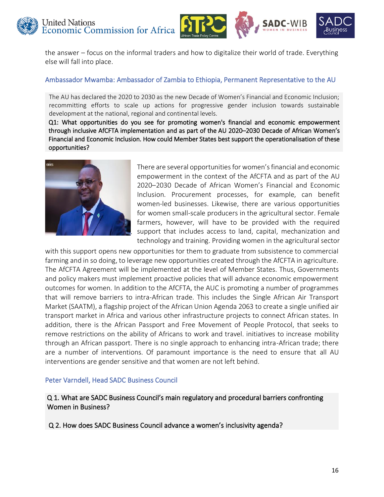

the answer – focus on the informal traders and how to digitalize their world of trade. Everything else will fall into place.

#### Ambassador Mwamba: Ambassador of Zambia to Ethiopia, Permanent Representative to the AU

The AU has declared the 2020 to 2030 as the new Decade of Women's Financial and Economic Inclusion; recommitting efforts to scale up actions for progressive gender inclusion towards sustainable development at the national, regional and continental levels.

Q1: What opportunities do you see for promoting women's financial and economic empowerment through inclusive AfCFTA implementation and as part of the AU 2020–2030 Decade of African Women's Financial and Economic Inclusion. How could Member States best support the operationalisation of these opportunities?



There are several opportunities for women's financial and economic empowerment in the context of the AfCFTA and as part of the AU 2020–2030 Decade of African Women's Financial and Economic Inclusion. Procurement processes, for example, can benefit women-led businesses. Likewise, there are various opportunities for women small-scale producers in the agricultural sector. Female farmers, however, will have to be provided with the required support that includes access to land, capital, mechanization and technology and training. Providing women in the agricultural sector

with this support opens new opportunities for them to graduate from subsistence to commercial farming and in so doing, to leverage new opportunities created through the AfCFTA in agriculture. The AfCFTA Agreement will be implemented at the level of Member States. Thus, Governments and policy makers must implement proactive policies that will advance economic empowerment outcomes for women. In addition to the AfCFTA, the AUC is promoting a number of programmes that will remove barriers to intra-African trade. This includes the Single African Air Transport Market (SAATM), a flagship project of the African Union Agenda 2063 to create a single unified air transport market in Africa and various other infrastructure projects to connect African states. In addition, there is the African Passport and Free Movement of People Protocol, that seeks to remove restrictions on the ability of Africans to work and travel. initiatives to increase mobility through an African passport. There is no single approach to enhancing intra-African trade; there are a number of interventions. Of paramount importance is the need to ensure that all AU interventions are gender sensitive and that women are not left behind.

#### Peter Varndell, Head SADC Business Council

Q 1. What are SADC Business Council's main regulatory and procedural barriers confronting Women in Business?

Q 2. How does SADC Business Council advance a women's inclusivity agenda?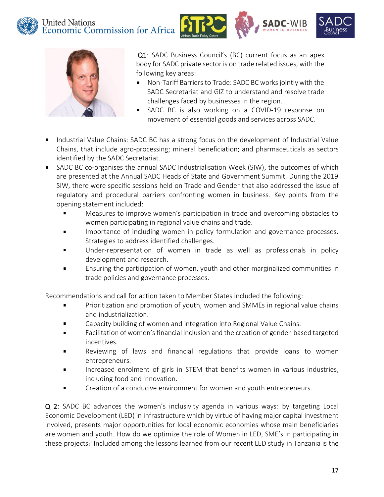





Q1: SADC Business Council's (BC) current focus as an apex body for SADC private sector is on trade related issues, with the following key areas:

- Non-Tariff Barriers to Trade: SADC BC works jointly with the SADC Secretariat and GIZ to understand and resolve trade challenges faced by businesses in the region.
- **SADC BC** is also working on a COVID-19 response on movement of essential goods and services across SADC.
- **IFM** Industrial Value Chains: SADC BC has a strong focus on the development of Industrial Value Chains, that include agro-processing; mineral beneficiation; and pharmaceuticals as sectors identified by the SADC Secretariat.
- SADC BC co-organises the annual SADC Industrialisation Week (SIW), the outcomes of which are presented at the Annual SADC Heads of State and Government Summit. During the 2019 SIW, there were specific sessions held on Trade and Gender that also addressed the issue of regulatory and procedural barriers confronting women in business. Key points from the opening statement included:
	- $\blacksquare$ Measures to improve women's participation in trade and overcoming obstacles to women participating in regional value chains and trade.
	- Importance of including women in policy formulation and governance processes.  $\blacksquare$ Strategies to address identified challenges.
	- Under-representation of women in trade as well as professionals in policy  $\blacksquare$ development and research.
	- Ensuring the participation of women, youth and other marginalized communities in  $\blacksquare$ trade policies and governance processes.

Recommendations and call for action taken to Member States included the following:

- $\blacksquare$ Prioritization and promotion of youth, women and SMMEs in regional value chains and industrialization.
- Capacity building of women and integration into Regional Value Chains.  $\blacksquare$
- Facilitation of women's financial inclusion and the creation of gender-based targeted  $\blacksquare$ incentives.
- Reviewing of laws and financial regulations that provide loans to women  $\blacksquare$ entrepreneurs.
- $\blacksquare$ Increased enrolment of girls in STEM that benefits women in various industries, including food and innovation.
- Creation of a conducive environment for women and youth entrepreneurs.  $\blacksquare$

Q 2: SADC BC advances the women's inclusivity agenda in various ways: by targeting Local Economic Development (LED) in infrastructure which by virtue of having major capital investment involved, presents major opportunities for local economic economies whose main beneficiaries are women and youth. How do we optimize the role of Women in LED, SME's in participating in these projects? Included among the lessons learned from our recent LED study in Tanzania is the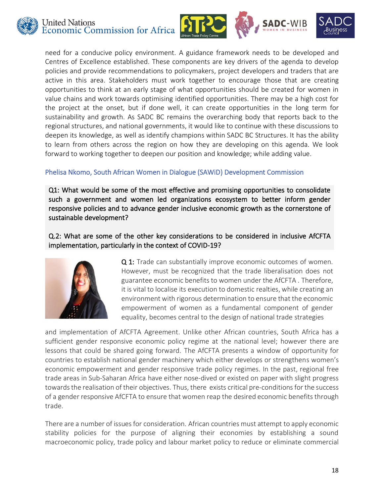





need for a conducive policy environment. A guidance framework needs to be developed and Centres of Excellence established. These components are key drivers of the agenda to develop policies and provide recommendations to policymakers, project developers and traders that are active in this area. Stakeholders must work together to encourage those that are creating opportunities to think at an early stage of what opportunities should be created for women in value chains and work towards optimising identified opportunities. There may be a high cost for the project at the onset, but if done well, it can create opportunities in the long term for sustainability and growth. As SADC BC remains the overarching body that reports back to the regional structures, and national governments, it would like to continue with these discussions to deepen its knowledge, as well as identify champions within SADC BC Structures. It has the ability to learn from others across the region on how they are developing on this agenda. We look forward to working together to deepen our position and knowledge; while adding value.

## Phelisa Nkomo, South African Women in Dialogue (SAWiD) Development Commission

Q1: What would be some of the most effective and promising opportunities to consolidate such a government and women led organizations ecosystem to better inform gender responsive policies and to advance gender inclusive economic growth as the cornerstone of sustainable development?

## Q.2: What are some of the other key considerations to be considered in inclusive AfCFTA implementation, particularly in the context of COVID-19?



Q 1: Trade can substantially improve economic outcomes of women. However, must be recognized that the trade liberalisation does not guarantee economic benefits to women under the AfCFTA . Therefore, it is vital to localise its execution to domestic realties, while creating an environment with rigorous determination to ensure that the economic empowerment of women as a fundamental component of gender equality, becomes central to the design of national trade strategies

and implementation of AfCFTA Agreement. Unlike other African countries, South Africa has a sufficient gender responsive economic policy regime at the national level; however there are lessons that could be shared going forward. The AfCFTA presents a window of opportunity for countries to establish national gender machinery which either develops or strengthens women's economic empowerment and gender responsive trade policy regimes. In the past, regional free trade areas in Sub-Saharan Africa have either nose-dived or existed on paper with slight progress towards the realisation of their objectives. Thus, there exists critical pre-conditions for the success of a gender responsive AfCFTA to ensure that women reap the desired economic benefits through trade.

There are a number of issues for consideration. African countries must attempt to apply economic stability policies for the purpose of aligning their economies by establishing a sound macroeconomic policy, trade policy and labour market policy to reduce or eliminate commercial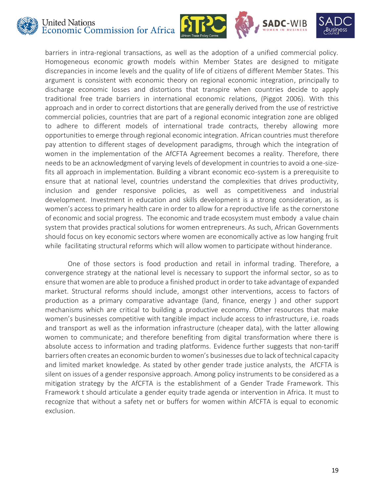







barriers in intra-regional transactions, as well as the adoption of a unified commercial policy. Homogeneous economic growth models within Member States are designed to mitigate discrepancies in income levels and the quality of life of citizens of different Member States. This argument is consistent with economic theory on regional economic integration, principally to discharge economic losses and distortions that transpire when countries decide to apply traditional free trade barriers in international economic relations, (Piggot 2006). With this approach and in order to correct distortions that are generally derived from the use of restrictive commercial policies, countries that are part of a regional economic integration zone are obliged to adhere to different models of international trade contracts, thereby allowing more opportunities to emerge through regional economic integration. African countries must therefore pay attention to different stages of development paradigms, through which the integration of women in the implementation of the AfCFTA Agreement becomes a reality. Therefore, there needs to be an acknowledgment of varying levels of development in countries to avoid a one-sizefits all approach in implementation. Building a vibrant economic eco-system is a prerequisite to ensure that at national level, countries understand the complexities that drives productivity, inclusion and gender responsive policies, as well as competitiveness and industrial development. Investment in education and skills development is a strong consideration, as is women's access to primary health care in order to allow for a reproductive life as the cornerstone of economic and social progress. The economic and trade ecosystem must embody a value chain system that provides practical solutions for women entrepreneurs. As such, African Governments should focus on key economic sectors where women are economically active as low hanging fruit while facilitating structural reforms which will allow women to participate without hinderance.

One of those sectors is food production and retail in informal trading. Therefore, a convergence strategy at the national level is necessary to support the informal sector, so as to ensure that women are able to produce a finished product in order to take advantage of expanded market. Structural reforms should include, amongst other interventions, access to factors of production as a primary comparative advantage (land, finance, energy ) and other support mechanisms which are critical to building a productive economy. Other resources that make women's businesses competitive with tangible impact include access to infrastructure, i.e. roads and transport as well as the information infrastructure (cheaper data), with the latter allowing women to communicate; and therefore benefiting from digital transformation where there is absolute access to information and trading platforms. Evidence further suggests that non-tariff barriers often creates an economic burden to women's businesses due to lack of technical capacity and limited market knowledge. As stated by other gender trade justice analysts, the AfCFTA is silent on issues of a gender responsive approach. Among policy instruments to be considered as a mitigation strategy by the AfCFTA is the establishment of a Gender Trade Framework. This Framework t should articulate a gender equity trade agenda or intervention in Africa. It must to recognize that without a safety net or buffers for women within AfCFTA is equal to economic exclusion.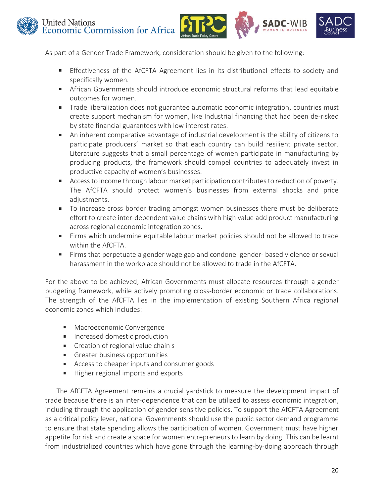



As part of a Gender Trade Framework, consideration should be given to the following:

- **Effectiveness of the AfCFTA Agreement lies in its distributional effects to society and** specifically women.
- African Governments should introduce economic structural reforms that lead equitable outcomes for women.
- Trade liberalization does not guarantee automatic economic integration, countries must create support mechanism for women, like Industrial financing that had been de-risked by state financial guarantees with low interest rates.
- An inherent comparative advantage of industrial development is the ability of citizens to  $\mathbf{r}$  . participate producers' market so that each country can build resilient private sector. Literature suggests that a small percentage of women participate in manufacturing by producing products, the framework should compel countries to adequately invest in productive capacity of women's businesses.
- **Access to income through labour market participation contributes to reduction of poverty.** The AfCFTA should protect women's businesses from external shocks and price adjustments.
- To increase cross border trading amongst women businesses there must be deliberate effort to create inter-dependent value chains with high value add product manufacturing across regional economic integration zones.
- Firms which undermine equitable labour market policies should not be allowed to trade within the AfCFTA.
- **Firms that perpetuate a gender wage gap and condone gender- based violence or sexual** harassment in the workplace should not be allowed to trade in the AfCFTA.

For the above to be achieved, African Governments must allocate resources through a gender budgeting framework, while actively promoting cross-border economic or trade collaborations. The strength of the AfCFTA lies in the implementation of existing Southern Africa regional economic zones which includes:

- **Macroeconomic Convergence**
- **Increased domestic production**
- **Creation of regional value chain s**
- **Greater business opportunities**
- Access to cheaper inputs and consumer goods
- Higher regional imports and exports m.

The AfCFTA Agreement remains a crucial yardstick to measure the development impact of trade because there is an inter-dependence that can be utilized to assess economic integration, including through the application of gender-sensitive policies. To support the AfCFTA Agreement as a critical policy lever, national Governments should use the public sector demand programme to ensure that state spending allows the participation of women. Government must have higher appetite for risk and create a space for women entrepreneurs to learn by doing. This can be learnt from industrialized countries which have gone through the learning-by-doing approach through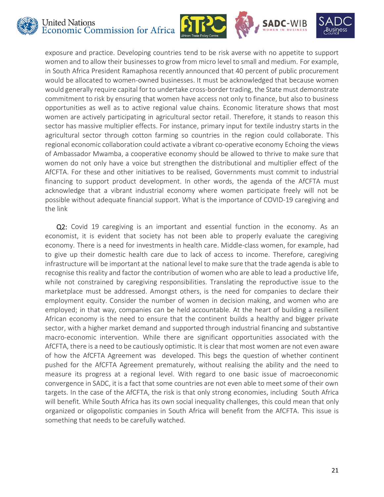







exposure and practice. Developing countries tend to be risk averse with no appetite to support women and to allow their businesses to grow from micro level to small and medium. For example, in South Africa President Ramaphosa recently announced that 40 percent of public procurement would be allocated to women-owned businesses. It must be acknowledged that because women would generally require capital for to undertake cross-border trading, the State must demonstrate commitment to risk by ensuring that women have access not only to finance, but also to business opportunities as well as to active regional value chains. Economic literature shows that most women are actively participating in agricultural sector retail. Therefore, it stands to reason this sector has massive multiplier effects. For instance, primary input for textile industry starts in the agricultural sector through cotton farming so countries in the region could collaborate. This regional economic collaboration could activate a vibrant co-operative economy Echoing the views of Ambassador Mwamba, a cooperative economy should be allowed to thrive to make sure that women do not only have a voice but strengthen the distributional and multiplier effect of the AfCFTA. For these and other initiatives to be realised, Governments must commit to industrial financing to support product development. In other words, the agenda of the AfCFTA must acknowledge that a vibrant industrial economy where women participate freely will not be possible without adequate financial support. What is the importance of COVID-19 caregiving and the link

Q2: Covid 19 caregiving is an important and essential function in the economy. As an economist, it is evident that society has not been able to properly evaluate the caregiving economy. There is a need for investments in health care. Middle-class women, for example, had to give up their domestic health care due to lack of access to income. Therefore, caregiving infrastructure will be important at the national level to make sure that the trade agenda is able to recognise this reality and factor the contribution of women who are able to lead a productive life, while not constrained by caregiving responsibilities. Translating the reproductive issue to the marketplace must be addressed. Amongst others, is the need for companies to declare their employment equity. Consider the number of women in decision making, and women who are employed; in that way, companies can be held accountable. At the heart of building a resilient African economy is the need to ensure that the continent builds a healthy and bigger private sector, with a higher market demand and supported through industrial financing and substantive macro-economic intervention. While there are significant opportunities associated with the AfCFTA, there is a need to be cautiously optimistic. It is clear that most women are not even aware of how the AfCFTA Agreement was developed. This begs the question of whether continent pushed for the AfCFTA Agreement prematurely, without realising the ability and the need to measure its progress at a regional level. With regard to one basic issue of macroeconomic convergence in SADC, it is a fact that some countries are not even able to meet some of their own targets. In the case of the AfCFTA, the risk is that only strong economies, including South Africa will benefit. While South Africa has its own social inequality challenges, this could mean that only organized or oligopolistic companies in South Africa will benefit from the AfCFTA. This issue is something that needs to be carefully watched.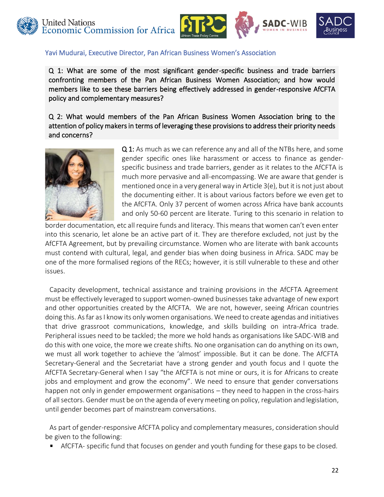





#### Yavi Mudurai, Executive Director, Pan African Business Women's Association

Q 1: What are some of the most significant gender-specific business and trade barriers confronting members of the Pan African Business Women Association; and how would members like to see these barriers being effectively addressed in gender-responsive AfCFTA policy and complementary measures?

Q 2: What would members of the Pan African Business Women Association bring to the attention of policy makers in terms of leveraging these provisions to address their priority needs and concerns?



Q 1: As much as we can reference any and all of the NTBs here, and some gender specific ones like harassment or access to finance as genderspecific business and trade barriers, gender as it relates to the AfCFTA is much more pervasive and all-encompassing. We are aware that gender is mentioned once in a very general way in Article 3(e), but it is not just about the documenting either. It is about various factors before we even get to the AfCFTA. Only 37 percent of women across Africa have bank accounts and only 50-60 percent are literate. Turing to this scenario in relation to

border documentation, etc all require funds and literacy. This means that women can't even enter into this scenario, let alone be an active part of it. They are therefore excluded, not just by the AfCFTA Agreement, but by prevailing circumstance. Women who are literate with bank accounts must contend with cultural, legal, and gender bias when doing business in Africa. SADC may be one of the more formalised regions of the RECs; however, it is still vulnerable to these and other issues.

Capacity development, technical assistance and training provisions in the AfCFTA Agreement must be effectively leveraged to support women-owned businesses take advantage of new export and other opportunities created by the AfCFTA. We are not, however, seeing African countries doing this. As far as I know its only women organisations. We need to create agendas and initiatives that drive grassroot communications, knowledge, and skills building on intra-Africa trade. Peripheral issues need to be tackled; the more we hold hands as organisations like SADC-WIB and do this with one voice, the more we create shifts. No one organisation can do anything on its own, we must all work together to achieve the 'almost' impossible. But it can be done. The AfCFTA Secretary-General and the Secretariat have a strong gender and youth focus and I quote the AfCFTA Secretary-General when I say "the AfCFTA is not mine or ours, it is for Africans to create jobs and employment and grow the economy". We need to ensure that gender conversations happen not only in gender empowerment organisations – they need to happen in the cross-hairs of all sectors. Gender must be on the agenda of every meeting on policy, regulation and legislation, until gender becomes part of mainstream conversations.

As part of gender-responsive AfCFTA policy and complementary measures, consideration should be given to the following:

AfCFTA- specific fund that focuses on gender and youth funding for these gaps to be closed.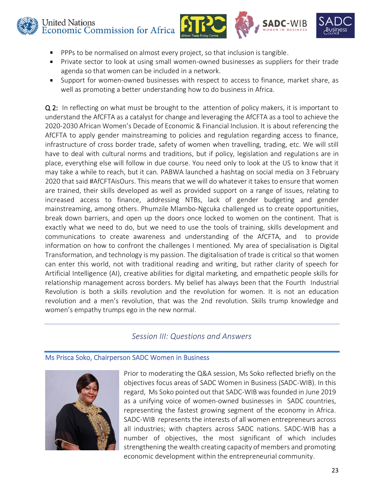



- PPPs to be normalised on almost every project, so that inclusion is tangible.
- Private sector to look at using small women-owned businesses as suppliers for their trade agenda so that women can be included in a network.
- Support for women-owned businesses with respect to access to finance, market share, as well as promoting a better understanding how to do business in Africa.

Q 2: In reflecting on what must be brought to the attention of policy makers, it is important to understand the AfCFTA as a catalyst for change and leveraging the AfCFTA as a tool to achieve the 2020-2030 African Women's Decade of Economic & Financial Inclusion. It is about referencing the AfCFTA to apply gender mainstreaming to policies and regulation regarding access to finance, infrastructure of cross border trade, safety of women when travelling, trading, etc. We will still have to deal with cultural norms and traditions, but if policy, legislation and regulations are in place, everything else will follow in due course. You need only to look at the US to know that it may take a while to reach, but it can. PABWA launched a hashtag on social media on 3 February 2020 that said #AfCFTAisOurs. This means that we will do whatever it takes to ensure that women are trained, their skills developed as well as provided support on a range of issues, relating to increased access to finance, addressing NTBs, lack of gender budgeting and gender mainstreaming, among others. Phumzile Mlambo-Ngcuka challenged us to create opportunities, break down barriers, and open up the doors once locked to women on the continent. That is exactly what we need to do, but we need to use the tools of training, skills development and communications to create awareness and understanding of the AfCFTA, and to provide information on how to confront the challenges I mentioned. My area of specialisation is Digital Transformation, and technology is my passion. The digitalisation of trade is critical so that women can enter this world, not with traditional reading and writing, but rather clarity of speech for Artificial Intelligence (AI), creative abilities for digital marketing, and empathetic people skills for relationship management across borders. My belief has always been that the Fourth Industrial Revolution is both a skills revolution and the revolution for women. It is not an education revolution and a men's revolution, that was the 2nd revolution. Skills trump knowledge and women's empathy trumps ego in the new normal.

# *Session III: Questions and Answers*

#### Ms Prisca Soko, Chairperson SADC Women in Business



Prior to moderating the Q&A session, Ms Soko reflected briefly on the objectives focus areas of SADC Women in Business (SADC-WIB). In this regard, Ms Soko pointed out that SADC-WIB was founded in June 2019 as a unifying voice of women-owned businesses in SADC countries, representing the fastest growing segment of the economy in Africa. SADC-WIB represents the interests of all women entrepreneurs across all industries; with chapters across SADC nations. SADC-WIB has a number of objectives, the most significant of which includes strengthening the wealth creating capacity of members and promoting economic development within the entrepreneurial community.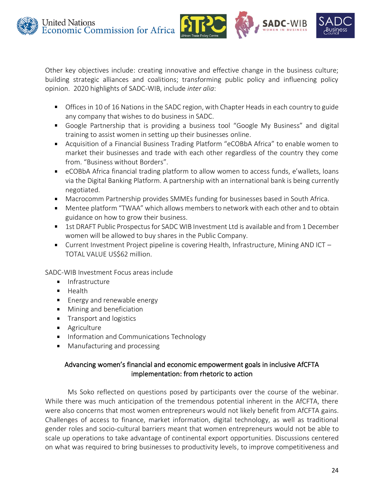





Other key objectives include: creating innovative and effective change in the business culture; building strategic alliances and coalitions; transforming public policy and influencing policy opinion. 2020 highlights of SADC-WIB, include *inter alia*:

- **Offices in 10 of 16 Nations in the SADC region, with Chapter Heads in each country to guide** any company that wishes to do business in SADC.
- Google Partnership that is providing a business tool "Google My Business" and digital training to assist women in setting up their businesses online.
- Acquisition of a Financial Business Trading Platform "eCOBbA Africa" to enable women to market their businesses and trade with each other regardless of the country they come from. "Business without Borders".
- eCOBbA Africa financial trading platform to allow women to access funds, e'wallets, loans via the Digital Banking Platform. A partnership with an international bank is being currently negotiated.
- Macrocomm Partnership provides SMMEs funding for businesses based in South Africa.
- Mentee platform "TWAA" which allows members to network with each other and to obtain guidance on how to grow their business.
- 1st DRAFT Public Prospectus for SADC WIB Investment Ltd is available and from 1 December women will be allowed to buy shares in the Public Company.
- Current Investment Project pipeline is covering Health, Infrastructure, Mining AND ICT TOTAL VALUE US\$62 million.

SADC-WIB Investment Focus areas include

- **Infrastructure**
- $H$  Health
- **Energy and renewable energy**
- **Mining and beneficiation**
- **Transport and logistics**
- **Agriculture**
- **Information and Communications Technology**
- **Manufacturing and processing**

## Advancing women's financial and economic empowerment goals in inclusive AfCFTA implementation: from rhetoric to action

Ms Soko reflected on questions posed by participants over the course of the webinar. While there was much anticipation of the tremendous potential inherent in the AfCFTA, there were also concerns that most women entrepreneurs would not likely benefit from AfCFTA gains. Challenges of access to finance, market information, digital technology, as well as traditional gender roles and socio-cultural barriers meant that women entrepreneurs would not be able to scale up operations to take advantage of continental export opportunities. Discussions centered on what was required to bring businesses to productivity levels, to improve competitiveness and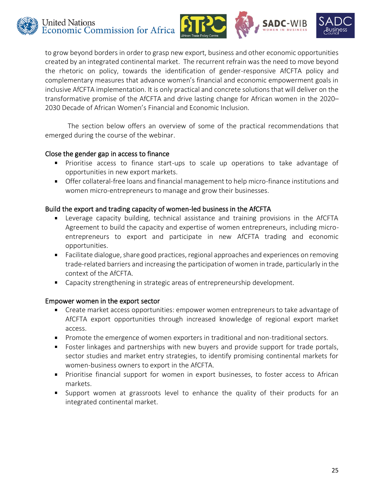



to grow beyond borders in order to grasp new export, business and other economic opportunities created by an integrated continental market. The recurrent refrain was the need to move beyond the rhetoric on policy, towards the identification of gender-responsive AfCFTA policy and complementary measures that advance women's financial and economic empowerment goals in inclusive AfCFTA implementation. It is only practical and concrete solutions that will deliver on the transformative promise of the AfCFTA and drive lasting change for African women in the 2020– 2030 Decade of African Women's Financial and Economic Inclusion.

The section below offers an overview of some of the practical recommendations that emerged during the course of the webinar.

#### Close the gender gap in access to finance

- Prioritise access to finance start-ups to scale up operations to take advantage of opportunities in new export markets.
- Offer collateral-free loans and financial management to help micro-finance institutions and women micro-entrepreneurs to manage and grow their businesses.

#### Build the export and trading capacity of women-led business in the AfCFTA

- Leverage capacity building, technical assistance and training provisions in the AfCFTA Agreement to build the capacity and expertise of women entrepreneurs, including microentrepreneurs to export and participate in new AfCFTA trading and economic opportunities.
- Facilitate dialogue, share good practices, regional approaches and experiences on removing trade-related barriers and increasing the participation of women in trade, particularly in the context of the AfCFTA.
- Capacity strengthening in strategic areas of entrepreneurship development.  $\blacksquare$

#### Empower women in the export sector

- Create market access opportunities: empower women entrepreneurs to take advantage of AfCFTA export opportunities through increased knowledge of regional export market access.
- **Promote the emergence of women exporters in traditional and non-traditional sectors.**
- Foster linkages and partnerships with new buyers and provide support for trade portals, sector studies and market entry strategies, to identify promising continental markets for women-business owners to export in the AfCFTA.
- **Prioritise financial support for women in export businesses, to foster access to African** markets.
- Support women at grassroots level to enhance the quality of their products for an integrated continental market.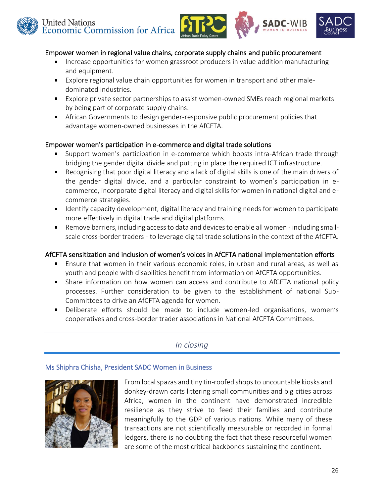

#### Empower women in regional value chains, corporate supply chains and public procurement

- $\blacksquare$ Increase opportunities for women grassroot producers in value addition manufacturing and equipment.
- Explore regional value chain opportunities for women in transport and other maledominated industries.
- Explore private sector partnerships to assist women-owned SMEs reach regional markets by being part of corporate supply chains.
- African Governments to design gender-responsive public procurement policies that advantage women-owned businesses in the AfCFTA.

#### Empower women's participation in e-commerce and digital trade solutions

- Support women's participation in e-commerce which boosts intra-African trade through bridging the gender digital divide and putting in place the required ICT infrastructure.
- Recognising that poor digital literacy and a lack of digital skills is one of the main drivers of the gender digital divide, and a particular constraint to women's participation in ecommerce, incorporate digital literacy and digital skills for women in national digital and ecommerce strategies.
- I dentify capacity development, digital literacy and training needs for women to participate more effectively in digital trade and digital platforms.
- Remove barriers, including access to data and devices to enable all women including smallscale cross-border traders - to leverage digital trade solutions in the context of the AfCFTA.

#### AfCFTA sensitization and inclusion of women's voices in AfCFTA national implementation efforts

- $\blacksquare$ Ensure that women in their various economic roles, in urban and rural areas, as well as youth and people with disabilities benefit from information on AfCFTA opportunities.
- Share information on how women can access and contribute to AfCFTA national policy processes. Further consideration to be given to the establishment of national Sub-Committees to drive an AfCFTA agenda for women.
- $\mathbf{u}$  . Deliberate efforts should be made to include women-led organisations, women's cooperatives and cross-border trader associations in National AfCFTA Committees.

# *In closing*

#### Ms Shiphra Chisha, President SADC Women in Business



From local spazas and tiny tin-roofed shops to uncountable kiosks and donkey-drawn carts littering small communities and big cities across Africa, women in the continent have demonstrated incredible resilience as they strive to feed their families and contribute meaningfully to the GDP of various nations. While many of these transactions are not scientifically measurable or recorded in formal ledgers, there is no doubting the fact that these resourceful women are some of the most critical backbones sustaining the continent.